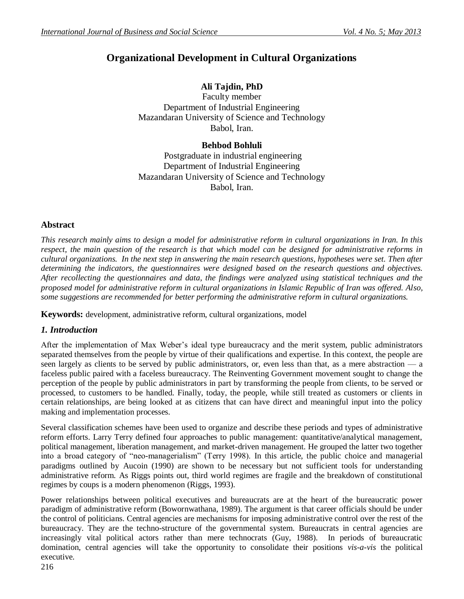# **Organizational Development in Cultural Organizations**

# **Ali Tajdin, PhD**

Faculty member Department of Industrial Engineering Mazandaran University of Science and Technology Babol, Iran.

### **Behbod Bohluli**

Postgraduate in industrial engineering Department of Industrial Engineering Mazandaran University of Science and Technology Babol, Iran.

### **Abstract**

*This research mainly aims to design a model for administrative reform in cultural organizations in Iran. In this respect, the main question of the research is that which model can be designed for administrative reforms in cultural organizations. In the next step in answering the main research questions, hypotheses were set. Then after determining the indicators, the questionnaires were designed based on the research questions and objectives. After recollecting the questionnaires and data, the findings were analyzed using statistical techniques and the proposed model for administrative reform in cultural organizations in Islamic Republic of Iran was offered. Also, some suggestions are recommended for better performing the administrative reform in cultural organizations.*

**Keywords:** development, administrative reform, cultural organizations, model

### *1. Introduction*

After the implementation of Max Weber's ideal type bureaucracy and the merit system, public administrators separated themselves from the people by virtue of their qualifications and expertise. In this context, the people are seen largely as clients to be served by public administrators, or, even less than that, as a mere abstraction — a faceless public paired with a faceless bureaucracy. The Reinventing Government movement sought to change the perception of the people by public administrators in part by transforming the people from clients, to be served or processed, to customers to be handled. Finally, today, the people, while still treated as customers or clients in certain relationships, are being looked at as citizens that can have direct and meaningful input into the policy making and implementation processes.

Several classification schemes have been used to organize and describe these periods and types of administrative reform efforts. Larry Terry defined four approaches to public management: quantitative/analytical management, political management, liberation management, and market-driven management. He grouped the latter two together into a broad category of "neo-managerialism" (Terry 1998). In this article, the public choice and managerial paradigms outlined by Aucoin (1990) are shown to be necessary but not sufficient tools for understanding administrative reform. As Riggs points out, third world regimes are fragile and the breakdown of constitutional regimes by coups is a modern phenomenon (Riggs, 1993).

Power relationships between political executives and bureaucrats are at the heart of the bureaucratic power paradigm of administrative reform (Bowornwathana, 1989). The argument is that career officials should be under the control of politicians. Central agencies are mechanisms for imposing administrative control over the rest of the bureaucracy. They are the techno-structure of the governmental system. Bureaucrats in central agencies are increasingly vital political actors rather than mere technocrats (Guy, 1988). In periods of bureaucratic domination, central agencies will take the opportunity to consolidate their positions *vis-a-vis* the political executive.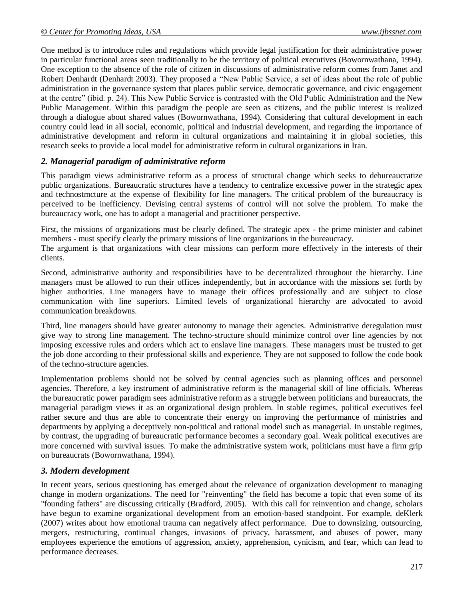One method is to introduce rules and regulations which provide legal justification for their administrative power in particular functional areas seen traditionally to be the territory of political executives (Bowornwathana, 1994). One exception to the absence of the role of citizen in discussions of administrative reform comes from Janet and Robert Denhardt (Denhardt 2003). They proposed a "New Public Service, a set of ideas about the role of public administration in the governance system that places public service, democratic governance, and civic engagement at the centre" (ibid. p. 24). This New Public Service is contrasted with the Old Public Administration and the New Public Management. Within this paradigm the people are seen as citizens, and the public interest is realized through a dialogue about shared values (Bowornwathana, 1994). Considering that cultural development in each country could lead in all social, economic, political and industrial development, and regarding the importance of administrative development and reform in cultural organizations and maintaining it in global societies, this research seeks to provide a local model for administrative reform in cultural organizations in Iran.

### *2. Managerial paradigm of administrative reform*

This paradigm views administrative reform as a process of structural change which seeks to debureaucratize public organizations. Bureaucratic structures have a tendency to centralize excessive power in the strategic apex and technostmcture at the expense of flexibility for line managers. The critical problem of the bureaucracy is perceived to be inefficiency. Devising central systems of control will not solve the problem. To make the bureaucracy work, one has to adopt a managerial and practitioner perspective.

First, the missions of organizations must be clearly defined. The strategic apex - the prime minister and cabinet members - must specify clearly the primary missions of line organizations in the bureaucracy.

The argument is that organizations with clear missions can perform more effectively in the interests of their clients.

Second, administrative authority and responsibilities have to be decentralized throughout the hierarchy. Line managers must be allowed to run their offices independently, but in accordance with the missions set forth by higher authorities. Line managers have to manage their offices professionally and are subject to close communication with line superiors. Limited levels of organizational hierarchy are advocated to avoid communication breakdowns.

Third, line managers should have greater autonomy to manage their agencies. Administrative deregulation must give way to strong line management. The techno-structure should minimize control over line agencies by not imposing excessive rules and orders which act to enslave line managers. These managers must be trusted to get the job done according to their professional skills and experience. They are not supposed to follow the code book of the techno-structure agencies.

Implementation problems should not be solved by central agencies such as planning offices and personnel agencies. Therefore, a key instrument of administrative reform is the managerial skill of line officials. Whereas the bureaucratic power paradigm sees administrative reform as a struggle between politicians and bureaucrats, the managerial paradigm views it as an organizational design problem. In stable regimes, political executives feel rather secure and thus are able to concentrate their energy on improving the performance of ministries and departments by applying a deceptively non-political and rational model such as managerial. In unstable regimes, by contrast, the upgrading of bureaucratic performance becomes a secondary goal. Weak political executives are more concerned with survival issues. To make the administrative system work, politicians must have a firm grip on bureaucrats (Bowornwathana, 1994).

### *3. Modern development*

In recent years, serious questioning has emerged about the relevance of organization development to managing change in modern organizations. The need for "reinventing" the field has become a topic that even some of its "founding fathers" are discussing critically (Bradford, 2005). With this call for reinvention and change, scholars have begun to examine organizational development from an emotion-based standpoint. For example, deKlerk (2007) writes about how emotional trauma can negatively affect performance. Due to downsizing, outsourcing, mergers, restructuring, continual changes, invasions of privacy, harassment, and abuses of power, many employees experience the emotions of aggression, anxiety, apprehension, cynicism, and fear, which can lead to performance decreases.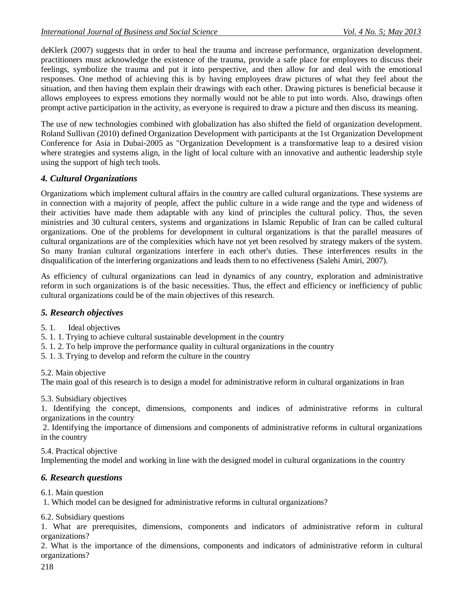deKlerk (2007) suggests that in order to heal the trauma and increase performance, organization development. practitioners must acknowledge the existence of the trauma, provide a safe place for employees to discuss their feelings, symbolize the trauma and put it into perspective, and then allow for and deal with the emotional responses. One method of achieving this is by having employees draw pictures of what they feel about the situation, and then having them explain their drawings with each other. Drawing pictures is beneficial because it allows employees to express emotions they normally would not be able to put into words. Also, drawings often prompt active participation in the activity, as everyone is required to draw a picture and then discuss its meaning.

The use of new technologies combined with globalization has also shifted the field of organization development. Roland Sullivan (2010) defined Organization Development with participants at the 1st Organization Development Conference for Asia in Dubai-2005 as "Organization Development is a transformative leap to a desired vision where strategies and systems align, in the light of local culture with an innovative and authentic leadership style using the support of high tech tools.

## *4. Cultural Organizations*

Organizations which implement cultural affairs in the country are called cultural organizations. These systems are in connection with a majority of people, affect the public culture in a wide range and the type and wideness of their activities have made them adaptable with any kind of principles the cultural policy. Thus, the seven ministries and 30 cultural centers, systems and organizations in Islamic Republic of Iran can be called cultural organizations. One of the problems for development in cultural organizations is that the parallel measures of cultural organizations are of the complexities which have not yet been resolved by strategy makers of the system. So many Iranian cultural organizations interfere in each other's duties. These interferences results in the disqualification of the interfering organizations and leads them to no effectiveness (Salehi Amiri, 2007).

As efficiency of cultural organizations can lead in dynamics of any country, exploration and administrative reform in such organizations is of the basic necessities. Thus, the effect and efficiency or inefficiency of public cultural organizations could be of the main objectives of this research.

### *5. Research objectives*

5. 1. Ideal objectives

5. 1. 1. Trying to achieve cultural sustainable development in the country

- 5. 1. 2. To help improve the performance quality in cultural organizations in the country
- 5. 1. 3. Trying to develop and reform the culture in the country

5.2. Main objective

The main goal of this research is to design a model for administrative reform in cultural organizations in Iran

### 5.3. Subsidiary objectives

1. Identifying the concept, dimensions, components and indices of administrative reforms in cultural organizations in the country

2. Identifying the importance of dimensions and components of administrative reforms in cultural organizations in the country

5.4. Practical objective

Implementing the model and working in line with the designed model in cultural organizations in the country

### *6. Research questions*

6.1. Main question

1. Which model can be designed for administrative reforms in cultural organizations?

6.2. Subsidiary questions

1. What are prerequisites, dimensions, components and indicators of administrative reform in cultural organizations?

2. What is the importance of the dimensions, components and indicators of administrative reform in cultural organizations?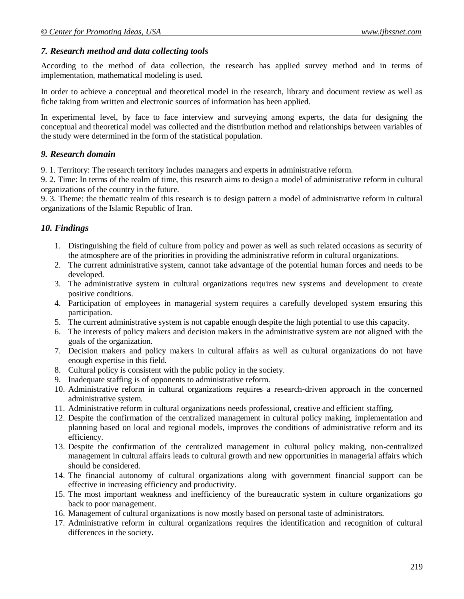#### *7. Research method and data collecting tools*

According to the method of data collection, the research has applied survey method and in terms of implementation, mathematical modeling is used.

In order to achieve a conceptual and theoretical model in the research, library and document review as well as fiche taking from written and electronic sources of information has been applied.

In experimental level, by face to face interview and surveying among experts, the data for designing the conceptual and theoretical model was collected and the distribution method and relationships between variables of the study were determined in the form of the statistical population.

#### *9. Research domain*

9. 1. Territory: The research territory includes managers and experts in administrative reform.

9. 2. Time: In terms of the realm of time, this research aims to design a model of administrative reform in cultural organizations of the country in the future.

9. 3. Theme: the thematic realm of this research is to design pattern a model of administrative reform in cultural organizations of the Islamic Republic of Iran.

### *10. Findings*

- 1. Distinguishing the field of culture from policy and power as well as such related occasions as security of the atmosphere are of the priorities in providing the administrative reform in cultural organizations.
- 2. The current administrative system, cannot take advantage of the potential human forces and needs to be developed.
- 3. The administrative system in cultural organizations requires new systems and development to create positive conditions.
- 4. Participation of employees in managerial system requires a carefully developed system ensuring this participation.
- 5. The current administrative system is not capable enough despite the high potential to use this capacity.
- 6. The interests of policy makers and decision makers in the administrative system are not aligned with the goals of the organization.
- 7. Decision makers and policy makers in cultural affairs as well as cultural organizations do not have enough expertise in this field.
- 8. Cultural policy is consistent with the public policy in the society.
- 9. Inadequate staffing is of opponents to administrative reform.
- 10. Administrative reform in cultural organizations requires a research-driven approach in the concerned administrative system.
- 11. Administrative reform in cultural organizations needs professional, creative and efficient staffing.
- 12. Despite the confirmation of the centralized management in cultural policy making, implementation and planning based on local and regional models, improves the conditions of administrative reform and its efficiency.
- 13. Despite the confirmation of the centralized management in cultural policy making, non-centralized management in cultural affairs leads to cultural growth and new opportunities in managerial affairs which should be considered.
- 14. The financial autonomy of cultural organizations along with government financial support can be effective in increasing efficiency and productivity.
- 15. The most important weakness and inefficiency of the bureaucratic system in culture organizations go back to poor management.
- 16. Management of cultural organizations is now mostly based on personal taste of administrators.
- 17. Administrative reform in cultural organizations requires the identification and recognition of cultural differences in the society.